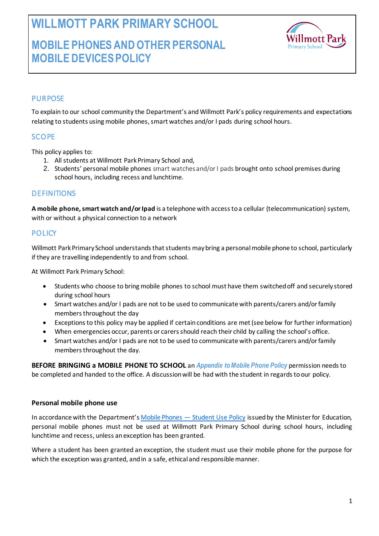**WILLMOTT PARK PRIMARY SCHOOL**

# **MOBILE PHONES AND OTHER PERSONAL MOBILE DEVICES POLICY**



# **PURPOSE**

To explain to our school community the Department's and Willmott Park's policy requirements and expectations relating to students using mobile phones, smart watches and/or I pads during school hours.

# **SCOPE**

This policy applies to:

- 1. All students at Willmott Park Primary School and,
- 2. Students' personal mobile phones smart watches and/or I pads brought onto school premises during school hours, including recess and lunchtime.

## **DEFINITIONS**

**A mobile phone, smart watch and/or Ipad** is a telephone with access to a cellular (telecommunication) system, with or without a physical connection to a network

## **POLICY**

Willmott Park Primary School understands that students may bring a personal mobile phone to school, particularly if they are travelling independently to and from school.

At Willmott Park Primary School:

- Students who choose to bring mobile phones to school must have them switched off and securely stored during school hours
- Smart watches and/or I pads are not to be used to communicate with parents/carers and/or family members throughout the day
- Exceptions to this policy may be applied if certain conditions are met (see below for further information)
- When emergencies occur, parents or carers should reach their child by calling the school's office.
- Smart watches and/or I pads are not to be used to communicate with parents/carers and/or family members throughout the day.

**BEFORE BRINGING a MOBILE PHONE TO SCHOOL** an *Appendix to Mobile Phone Policy* permission needs to be completed and handed to the office. A discussion will be had with the student in regards to our policy.

#### **Personal mobile phone use**

In accordance with the Department's [Mobile Phones](https://www2.education.vic.gov.au/pal/students-using-mobile-phones/policy) — Student Use Policy issued by the Minister for Education, personal mobile phones must not be used at Willmott Park Primary School during school hours, including lunchtime and recess, unless an exception has been granted.

Where a student has been granted an exception, the student must use their mobile phone for the purpose for which the exception was granted, and in a safe, ethical and responsible manner.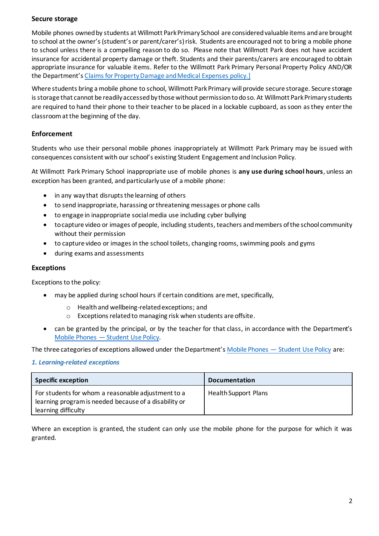### **Secure storage**

Mobile phones owned by students at Willmott Park Primary School are considered valuable items and are brought to school at the owner's (student's or parent/carer's) risk. Students are encouraged not to bring a mobile phone to school unless there is a compelling reason to do so. Please note that Willmott Park does not have accident insurance for accidental property damage or theft. Students and their parents/carers are encouraged to obtain appropriate insurance for valuable items. Refer to the Willmott Park Primary Personal Property Policy AND/OR the Department's [Claims for Property Damage and Medical Expenses](https://www2.education.vic.gov.au/pal/claims-property-damage-and-medical-expenses/policy) policy.]

Where students bring a mobile phone to school, Willmott Park Primary will provide secure storage. Secure storage is storage that cannot be readily accessed by those without permission to do so. At Willmott Park Primary students are required to hand their phone to their teacher to be placed in a lockable cupboard, as soon as they enter the classroom at the beginning of the day.

## **Enforcement**

Students who use their personal mobile phones inappropriately at Willmott Park Primary may be issued with consequences consistent with our school's existing Student Engagement and Inclusion Policy.

At Willmott Park Primary School inappropriate use of mobile phones is **any use during school hours**, unless an exception has been granted, and particularly use of a mobile phone:

- in any way that disrupts the learning of others
- to send inappropriate, harassing or threatening messages or phone calls
- to engage in inappropriate social media use including cyber bullying
- to capture video or images of people, including students, teachers and members of the school community without their permission
- to capture video or images in the school toilets, changing rooms, swimming pools and gyms
- during exams and assessments

#### **Exceptions**

Exceptions to the policy:

- may be applied during school hours if certain conditions are met, specifically,
	- o Health and wellbeing-related exceptions; and
	- o Exceptions related to managing risk when students are offsite.
- can be granted by the principal, or by the teacher for that class, in accordance with the Department's Mobile Phones — [Student Use Policy.](https://www2.education.vic.gov.au/pal/students-using-mobile-phones/policy)

The three categories of exceptions allowed under the Department's Mobile Phones — [Student Use Policy](https://www2.education.vic.gov.au/pal/students-using-mobile-phones/policy) are:

#### *1. Learning-related exceptions*

| <b>Specific exception</b>                                                                                                          | <b>Documentation</b>        |
|------------------------------------------------------------------------------------------------------------------------------------|-----------------------------|
| For students for whom a reasonable adjustment to a<br>learning program is needed because of a disability or<br>learning difficulty | <b>Health Support Plans</b> |

Where an exception is granted, the student can only use the mobile phone for the purpose for which it was granted.